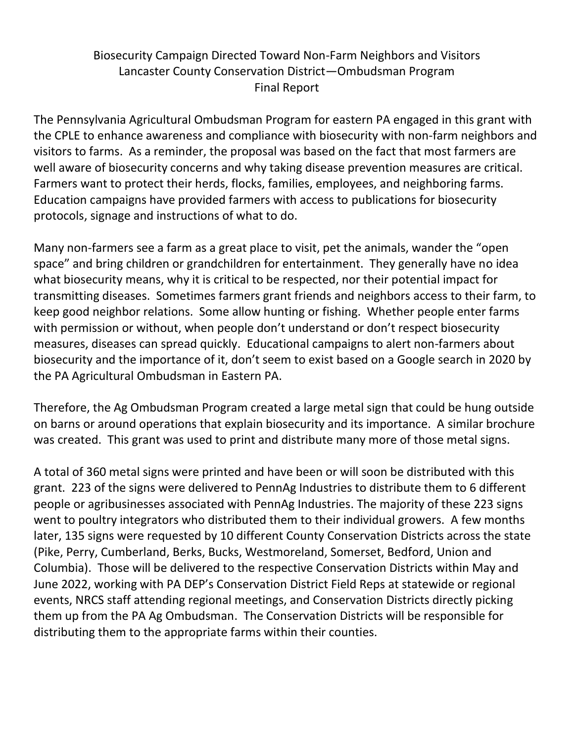## Biosecurity Campaign Directed Toward Non-Farm Neighbors and Visitors Lancaster County Conservation District—Ombudsman Program Final Report

The Pennsylvania Agricultural Ombudsman Program for eastern PA engaged in this grant with the CPLE to enhance awareness and compliance with biosecurity with non-farm neighbors and visitors to farms. As a reminder, the proposal was based on the fact that most farmers are well aware of biosecurity concerns and why taking disease prevention measures are critical. Farmers want to protect their herds, flocks, families, employees, and neighboring farms. Education campaigns have provided farmers with access to publications for biosecurity protocols, signage and instructions of what to do.

Many non-farmers see a farm as a great place to visit, pet the animals, wander the "open space" and bring children or grandchildren for entertainment. They generally have no idea what biosecurity means, why it is critical to be respected, nor their potential impact for transmitting diseases. Sometimes farmers grant friends and neighbors access to their farm, to keep good neighbor relations. Some allow hunting or fishing. Whether people enter farms with permission or without, when people don't understand or don't respect biosecurity measures, diseases can spread quickly. Educational campaigns to alert non-farmers about biosecurity and the importance of it, don't seem to exist based on a Google search in 2020 by the PA Agricultural Ombudsman in Eastern PA.

Therefore, the Ag Ombudsman Program created a large metal sign that could be hung outside on barns or around operations that explain biosecurity and its importance. A similar brochure was created. This grant was used to print and distribute many more of those metal signs.

A total of 360 metal signs were printed and have been or will soon be distributed with this grant. 223 of the signs were delivered to PennAg Industries to distribute them to 6 different people or agribusinesses associated with PennAg Industries. The majority of these 223 signs went to poultry integrators who distributed them to their individual growers. A few months later, 135 signs were requested by 10 different County Conservation Districts across the state (Pike, Perry, Cumberland, Berks, Bucks, Westmoreland, Somerset, Bedford, Union and Columbia). Those will be delivered to the respective Conservation Districts within May and June 2022, working with PA DEP's Conservation District Field Reps at statewide or regional events, NRCS staff attending regional meetings, and Conservation Districts directly picking them up from the PA Ag Ombudsman. The Conservation Districts will be responsible for distributing them to the appropriate farms within their counties.